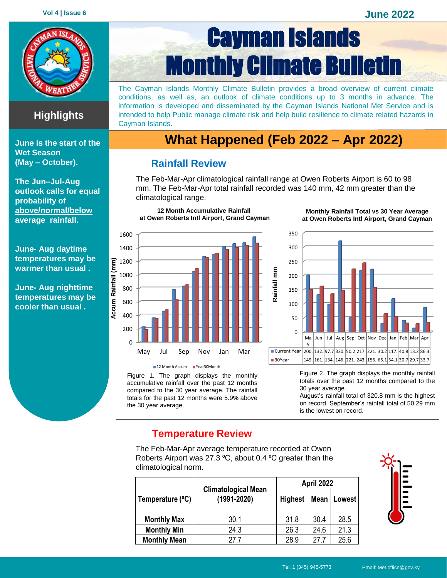

### **Highlights**

**June is the start of the Wet Season (May – October).**

**The Jun–Jul-Aug outlook calls for equal probability of above/normal/below average rainfall.**

**June- Aug daytime temperatures may be warmer than usual .**

**June- Aug nighttime temperatures may be cooler than usual .**

# Cayman Islands Monthly Climate Bulletin

The Cayman Islands Monthly Climate Bulletin provides a broad overview of current climate conditions, as well as, an outlook of climate conditions up to 3 months in advance. The information is developed and disseminated by the Cayman Islands National Met Service and is intended to help Public manage climate risk and help build resilience to climate related hazards in Cayman Islands.

## **What Happened (Feb 2022 – Apr 2022)**

#### **Rainfall Review**

**12 Month Accumulative Rainfall at Owen Roberts Intl Airport, Grand Cayman**

The Feb-Mar-Apr climatological rainfall range at Owen Roberts Airport is 60 to 98 mm. The Feb-Mar-Apr total rainfall recorded was 140 mm, 42 mm greater than the climatological range.



Figure 1. The graph displays the monthly accumulative rainfall over the past 12 months compared to the 30 year average. The rainfall totals for the past 12 months were 5.9**%** above 12 Month Accum Year30Month

the 30 year average.

**Monthly Rainfall Total vs 30 Year Average at Owen Roberts Intl Airport, Grand Cayman**



Figure 2. The graph displays the monthly rainfall totals over the past 12 months compared to the 30 year average.

August's rainfall total of 320.8 mm is the highest on record. September's rainfall total of 50.29 mm is the lowest on record.

#### **Temperature Review**

The Feb-Mar-Apr average temperature recorded at Owen Roberts Airport was 27.3 °C, about 0.4 °C greater than the climatological norm.

|                     |                                               | April 2022     |      |        |  |
|---------------------|-----------------------------------------------|----------------|------|--------|--|
| Temperature (°C)    | <b>Climatological Mean</b><br>$(1991 - 2020)$ | <b>Highest</b> | Mean | Lowest |  |
| <b>Monthly Max</b>  | 30.1                                          | 31.8           | 30.4 | 28.5   |  |
| <b>Monthly Min</b>  | 24.3                                          | 26.3           | 24.6 | 21.3   |  |
| <b>Monthly Mean</b> | 27 Z                                          | 28.9           | 27.7 | 25.6   |  |